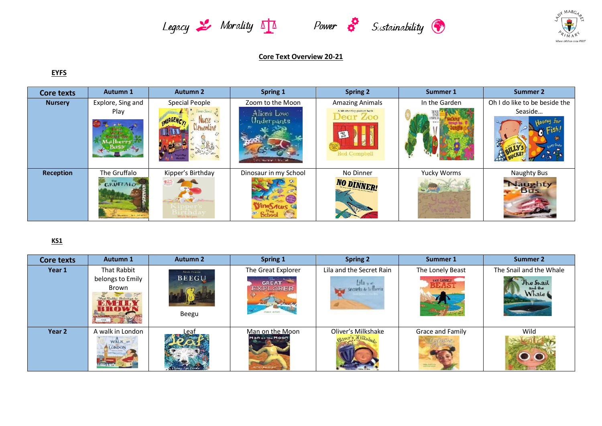





## **Core Text Overview 20-21**

## **EYFS**

| <b>Core texts</b> | <b>Autumn 1</b>                 | <b>Autumn 2</b>                  | Spring 1                     | <b>Spring 2</b>                                                           | Summer 1      | <b>Summer 2</b>                      |
|-------------------|---------------------------------|----------------------------------|------------------------------|---------------------------------------------------------------------------|---------------|--------------------------------------|
| <b>Nursery</b>    | Explore, Sing and               | Special People                   | Zoom to the Moon             | <b>Amazing Animals</b>                                                    | In the Garden | Oh I do like to be beside the        |
|                   | Play                            | MERGENCL.<br>mentine             | Alien's Love<br>(Inderpants) | A lift-the-ring picture book<br>Dear Zoo<br>$\frac{1}{2}$<br>Rod Compbell |               | Seaside                              |
| <b>Reception</b>  | The Gruffalo<br><b>GRUFFALO</b> | Kipper's Birthday<br>Mick Inkpen | Dinosaur in my School        | No Dinner<br><b>NO DINNER!</b>                                            | Yucky Worms   | Naughty Bus<br>Vaughty<br><b>Bus</b> |

## **KS1**

| <b>Core texts</b> | <b>Autumn 1</b>                                               | <b>Autumn 2</b>       | Spring 1                           | <b>Spring 2</b>                 | Summer 1                                | <b>Summer 2</b>               |
|-------------------|---------------------------------------------------------------|-----------------------|------------------------------------|---------------------------------|-----------------------------------------|-------------------------------|
| Year 1            | That Rabbit                                                   | Alexis Deacon         | The Great Explorer                 | Lila and the Secret Rain        | The Lonely Beast                        | The Snail and the Whale       |
|                   | belongs to Emily<br>Brown<br>That Rabbit Belongs to<br>$-3NB$ | <b>BEEGU</b><br>Beegu | GREAT<br><b>EXPLORER</b>           | lita set<br>secreto 4-5 fluoria | THE LONELY<br><b>BEAS</b>               | The Snait<br>and the<br>Whale |
| Year 2            | A walk in London<br>LONDON                                    | Leaf                  | Man on the Moon<br>Man on the Moon | Oliver's Milkshake              | Grace and Family<br><b>Alder Frames</b> | Wild                          |